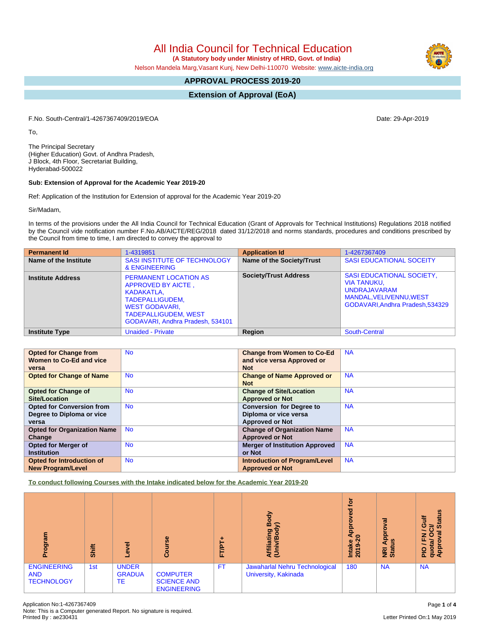All India Council for Technical Education

 **(A Statutory body under Ministry of HRD, Govt. of India)**

Nelson Mandela Marg,Vasant Kunj, New Delhi-110070 Website: [www.aicte-india.org](http://www.aicte-india.org)

# **APPROVAL PROCESS 2019-20**

**Extension of Approval (EoA)**

F.No. South-Central/1-4267367409/2019/EOA Date: 29-Apr-2019

To,

The Principal Secretary (Higher Education) Govt. of Andhra Pradesh, J Block, 4th Floor, Secretariat Building, Hyderabad-500022

## **Sub: Extension of Approval for the Academic Year 2019-20**

Ref: Application of the Institution for Extension of approval for the Academic Year 2019-20

Sir/Madam,

In terms of the provisions under the All India Council for Technical Education (Grant of Approvals for Technical Institutions) Regulations 2018 notified by the Council vide notification number F.No.AB/AICTE/REG/2018 dated 31/12/2018 and norms standards, procedures and conditions prescribed by the Council from time to time, I am directed to convey the approval to

| <b>Permanent Id</b>      | 1-4319851                                                                                                                                                                       | <b>Application Id</b>        | 1-4267367409                                                                                                                                 |
|--------------------------|---------------------------------------------------------------------------------------------------------------------------------------------------------------------------------|------------------------------|----------------------------------------------------------------------------------------------------------------------------------------------|
| Name of the Institute    | SASI INSTITUTE OF TECHNOLOGY<br>& ENGINEERING                                                                                                                                   | Name of the Society/Trust    | <b>SASI EDUCATIONAL SOCEITY</b>                                                                                                              |
| <b>Institute Address</b> | <b>PERMANENT LOCATION AS</b><br>APPROVED BY AICTE,<br>KADAKATLA,<br>TADEPALLIGUDEM,<br><b>WEST GODAVARI,</b><br><b>TADEPALLIGUDEM, WEST</b><br>GODAVARI, Andhra Pradesh, 534101 | <b>Society/Trust Address</b> | <b>SASI EDUCATIONAL SOCIETY,</b><br><b>VIA TANUKU,</b><br><b>UNDRAJAVARAM</b><br>MANDAL, VELIVENNU, WEST<br>GODAVARI, Andhra Pradesh, 534329 |
| <b>Institute Type</b>    | <b>Unaided - Private</b>                                                                                                                                                        | Region                       | South-Central                                                                                                                                |

| <b>Opted for Change from</b>       | <b>No</b> | <b>Change from Women to Co-Ed</b>     | <b>NA</b> |
|------------------------------------|-----------|---------------------------------------|-----------|
| Women to Co-Ed and vice            |           | and vice versa Approved or            |           |
| versa                              |           | <b>Not</b>                            |           |
| <b>Opted for Change of Name</b>    | <b>No</b> | <b>Change of Name Approved or</b>     | <b>NA</b> |
|                                    |           | <b>Not</b>                            |           |
| <b>Opted for Change of</b>         | <b>No</b> | <b>Change of Site/Location</b>        | <b>NA</b> |
| Site/Location                      |           | <b>Approved or Not</b>                |           |
| <b>Opted for Conversion from</b>   | <b>No</b> | <b>Conversion for Degree to</b>       | <b>NA</b> |
| Degree to Diploma or vice          |           | Diploma or vice versa                 |           |
| versa                              |           | <b>Approved or Not</b>                |           |
| <b>Opted for Organization Name</b> | <b>No</b> | <b>Change of Organization Name</b>    | <b>NA</b> |
| Change                             |           | <b>Approved or Not</b>                |           |
| <b>Opted for Merger of</b>         | <b>No</b> | <b>Merger of Institution Approved</b> | <b>NA</b> |
| <b>Institution</b>                 |           | or Not                                |           |
| <b>Opted for Introduction of</b>   | <b>No</b> | <b>Introduction of Program/Level</b>  | <b>NA</b> |
| <b>New Program/Level</b>           |           | <b>Approved or Not</b>                |           |

**To conduct following Courses with the Intake indicated below for the Academic Year 2019-20**

| ਨੁ<br>α.                                              | Shift | ō<br>٩                              | Course                                                      | .<br>ET/P | Body<br>y)<br>liating<br>ξĒ                            | <b>b</b><br>g<br>윤<br>₹<br>$\bullet$<br>Intake<br>ග<br>$\overline{20}$ | ಸ<br>ō<br>App<br>$\frac{5}{2}$<br><b>NRI</b> | tatus<br>ŧ<br>ပ<br>ō.<br>ট<br>z o<br>ц,<br>৯<br>윤<br>quor<br>App<br>음 |
|-------------------------------------------------------|-------|-------------------------------------|-------------------------------------------------------------|-----------|--------------------------------------------------------|------------------------------------------------------------------------|----------------------------------------------|-----------------------------------------------------------------------|
| <b>ENGINEERING</b><br><b>AND</b><br><b>TECHNOLOGY</b> | 1st   | <b>UNDER</b><br><b>GRADUA</b><br>TE | <b>COMPUTER</b><br><b>SCIENCE AND</b><br><b>ENGINEERING</b> | <b>FT</b> | Jawaharlal Nehru Technological<br>University, Kakinada | 180                                                                    | <b>NA</b>                                    | <b>NA</b>                                                             |

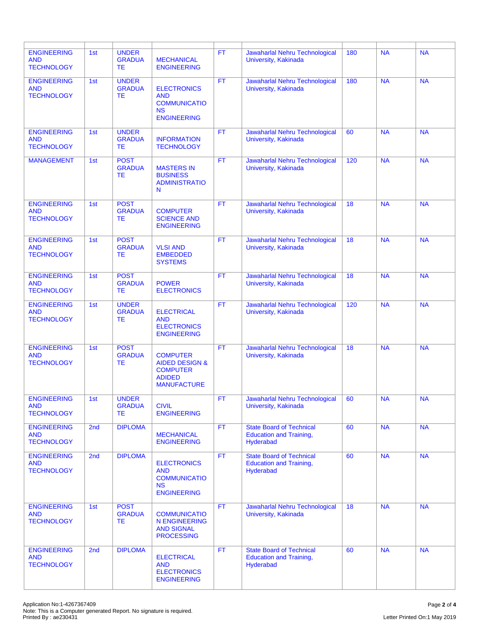| <b>ENGINEERING</b><br><b>AND</b><br><b>TECHNOLOGY</b> | 1st | <b>UNDER</b><br><b>GRADUA</b><br>ТE       | <b>MECHANICAL</b><br><b>ENGINEERING</b>                                                                | <b>FT</b> | Jawaharlal Nehru Technological<br>University, Kakinada                         | 180             | <b>NA</b> | <b>NA</b> |
|-------------------------------------------------------|-----|-------------------------------------------|--------------------------------------------------------------------------------------------------------|-----------|--------------------------------------------------------------------------------|-----------------|-----------|-----------|
| <b>ENGINEERING</b><br><b>AND</b><br><b>TECHNOLOGY</b> | 1st | <b>UNDER</b><br><b>GRADUA</b><br>TE       | <b>ELECTRONICS</b><br><b>AND</b><br><b>COMMUNICATIO</b><br><b>NS</b><br><b>ENGINEERING</b>             | <b>FT</b> | Jawaharlal Nehru Technological<br>University, Kakinada                         | 180             | <b>NA</b> | <b>NA</b> |
| <b>ENGINEERING</b><br><b>AND</b><br><b>TECHNOLOGY</b> | 1st | <b>UNDER</b><br><b>GRADUA</b><br>TE.      | <b>INFORMATION</b><br><b>TECHNOLOGY</b>                                                                | <b>FT</b> | Jawaharlal Nehru Technological<br>University, Kakinada                         | 60              | <b>NA</b> | <b>NA</b> |
| <b>MANAGEMENT</b>                                     | 1st | <b>POST</b><br><b>GRADUA</b><br><b>TE</b> | <b>MASTERS IN</b><br><b>BUSINESS</b><br><b>ADMINISTRATIO</b><br>N                                      | FT.       | Jawaharlal Nehru Technological<br>University, Kakinada                         | 120             | <b>NA</b> | <b>NA</b> |
| <b>ENGINEERING</b><br><b>AND</b><br><b>TECHNOLOGY</b> | 1st | <b>POST</b><br><b>GRADUA</b><br><b>TE</b> | <b>COMPUTER</b><br><b>SCIENCE AND</b><br><b>ENGINEERING</b>                                            | <b>FT</b> | Jawaharlal Nehru Technological<br>University, Kakinada                         | 18              | <b>NA</b> | <b>NA</b> |
| <b>ENGINEERING</b><br><b>AND</b><br><b>TECHNOLOGY</b> | 1st | <b>POST</b><br><b>GRADUA</b><br><b>TE</b> | <b>VLSI AND</b><br><b>EMBEDDED</b><br><b>SYSTEMS</b>                                                   | <b>FT</b> | Jawaharlal Nehru Technological<br>University, Kakinada                         | 18              | <b>NA</b> | <b>NA</b> |
| <b>ENGINEERING</b><br><b>AND</b><br><b>TECHNOLOGY</b> | 1st | <b>POST</b><br><b>GRADUA</b><br><b>TE</b> | <b>POWER</b><br><b>ELECTRONICS</b>                                                                     | <b>FT</b> | Jawaharlal Nehru Technological<br>University, Kakinada                         | $\overline{18}$ | <b>NA</b> | <b>NA</b> |
| <b>ENGINEERING</b><br><b>AND</b><br><b>TECHNOLOGY</b> | 1st | <b>UNDER</b><br><b>GRADUA</b><br>ТE       | <b>ELECTRICAL</b><br><b>AND</b><br><b>ELECTRONICS</b><br><b>ENGINEERING</b>                            | <b>FT</b> | Jawaharlal Nehru Technological<br>University, Kakinada                         | 120             | <b>NA</b> | <b>NA</b> |
| <b>ENGINEERING</b><br><b>AND</b><br><b>TECHNOLOGY</b> | 1st | <b>POST</b><br><b>GRADUA</b><br>ТE        | <b>COMPUTER</b><br><b>AIDED DESIGN &amp;</b><br><b>COMPUTER</b><br><b>ADIDED</b><br><b>MANUFACTURE</b> | <b>FT</b> | Jawaharlal Nehru Technological<br>University, Kakinada                         | 18              | <b>NA</b> | <b>NA</b> |
| <b>ENGINEERING</b><br><b>AND</b><br><b>TECHNOLOGY</b> | 1st | <b>UNDER</b><br><b>GRADUA</b><br>ТE       | <b>CIVIL</b><br><b>ENGINEERING</b>                                                                     | <b>FT</b> | Jawaharlal Nehru Technological<br>University, Kakinada                         | 60              | <b>NA</b> | <b>NA</b> |
| <b>ENGINEERING</b><br><b>AND</b><br><b>TECHNOLOGY</b> | 2nd | <b>DIPLOMA</b>                            | <b>MECHANICAL</b><br><b>ENGINEERING</b>                                                                | <b>FT</b> | <b>State Board of Technical</b><br><b>Education and Training,</b><br>Hyderabad | 60              | <b>NA</b> | <b>NA</b> |
| <b>ENGINEERING</b><br><b>AND</b><br><b>TECHNOLOGY</b> | 2nd | <b>DIPLOMA</b>                            | <b>ELECTRONICS</b><br><b>AND</b><br><b>COMMUNICATIO</b><br><b>NS</b><br><b>ENGINEERING</b>             | FT.       | <b>State Board of Technical</b><br><b>Education and Training,</b><br>Hyderabad | 60              | <b>NA</b> | <b>NA</b> |
| <b>ENGINEERING</b><br><b>AND</b><br><b>TECHNOLOGY</b> | 1st | <b>POST</b><br><b>GRADUA</b><br>TE.       | <b>COMMUNICATIO</b><br><b>N ENGINEERING</b><br><b>AND SIGNAL</b><br><b>PROCESSING</b>                  | FT.       | Jawaharlal Nehru Technological<br>University, Kakinada                         | 18              | <b>NA</b> | <b>NA</b> |
| <b>ENGINEERING</b><br><b>AND</b><br><b>TECHNOLOGY</b> | 2nd | <b>DIPLOMA</b>                            | <b>ELECTRICAL</b><br><b>AND</b><br><b>ELECTRONICS</b><br><b>ENGINEERING</b>                            | FT.       | <b>State Board of Technical</b><br><b>Education and Training,</b><br>Hyderabad | 60              | <b>NA</b> | <b>NA</b> |